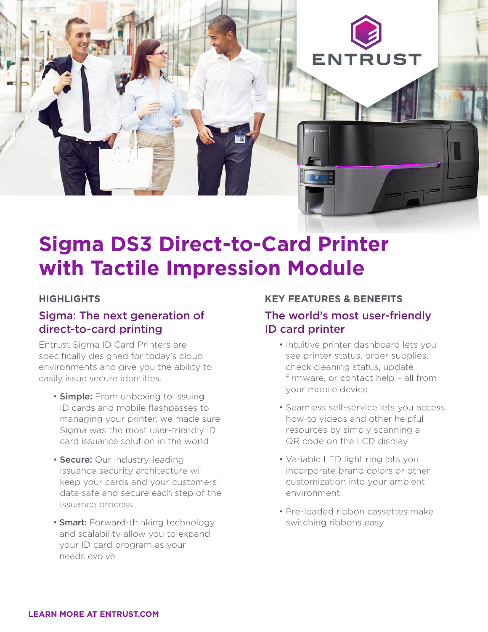

# **Sigma DS3 Direct-to-Card Printer with Tactile Impression Module**

### **HIGHLIGHTS**

## Sigma: The next generation of direct-to-card printing

Entrust Sigma ID Card Printers are specifically designed for today's cloud environments and give you the ability to easily issue secure identities.

- **Simple:** From unboxing to issuing ID cards and mobile flashpasses to managing your printer, we made sure Sigma was the most user-friendly ID card issuance solution in the world
- Secure: Our industry-leading issuance security architecture will keep your cards and your customers' data safe and secure each step of the issuance process
- **Smart:** Forward-thinking technology and scalability allow you to expand your ID card program as your needs evolve

#### **KEY FEATURES & BENEFITS**

## The world's most user-friendly ID card printer

- Intuitive printer dashboard lets you see printer status, order supplies, check cleaning status, update firmware, or contact help – all from your mobile device
- Seamless self-service lets you access how-to videos and other helpful resources by simply scanning a QR code on the LCD display
- Variable LED light ring lets you incorporate brand colors or other customization into your ambient environment
- Pre-loaded ribbon cassettes make switching ribbons easy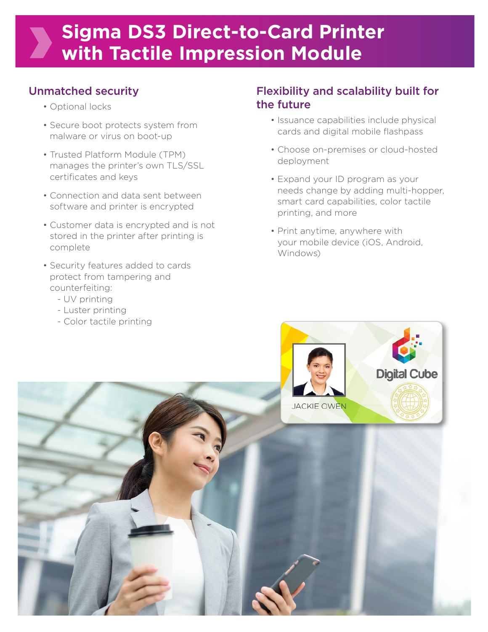# Unmatched security

- Optional locks
- Secure boot protects system from malware or virus on boot-up
- Trusted Platform Module (TPM) manages the printer's own TLS/SSL certificates and keys
- Connection and data sent between software and printer is encrypted
- Customer data is encrypted and is not stored in the printer after printing is complete
- Security features added to cards protect from tampering and counterfeiting:
	- UV printing
	- Luster printing
	- Color tactile printing

## Flexibility and scalability built for the future

- Issuance capabilities include physical cards and digital mobile flashpass
- Choose on-premises or cloud-hosted deployment
- Expand your ID program as your needs change by adding multi-hopper, smart card capabilities, color tactile printing, and more
- Print anytime, anywhere with your mobile device (iOS, Android, Windows)

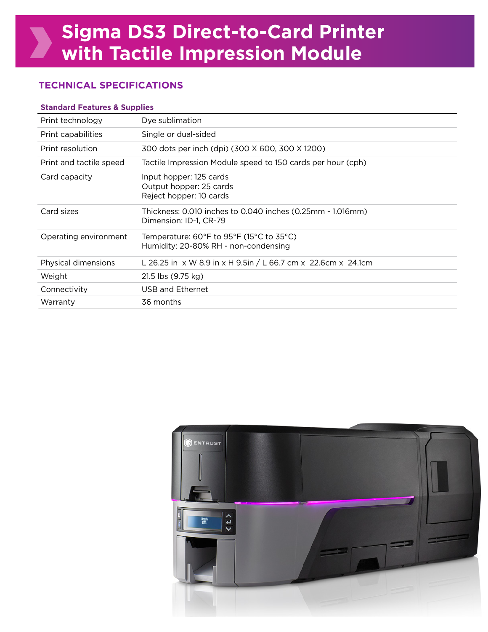## **TECHNICAL SPECIFICATIONS**

#### **Standard Features & Supplies**

| Print technology        | Dye sublimation                                                                                                             |
|-------------------------|-----------------------------------------------------------------------------------------------------------------------------|
| Print capabilities      | Single or dual-sided                                                                                                        |
| Print resolution        | 300 dots per inch (dpi) (300 X 600, 300 X 1200)                                                                             |
| Print and tactile speed | Tactile Impression Module speed to 150 cards per hour (cph)                                                                 |
| Card capacity           | Input hopper: 125 cards<br>Output hopper: 25 cards<br>Reject hopper: 10 cards                                               |
| Card sizes              | Thickness: 0.010 inches to 0.040 inches (0.25mm - 1.016mm)<br>Dimension: ID-1, CR-79                                        |
| Operating environment   | Temperature: $60^{\circ}$ F to 95 $^{\circ}$ F (15 $^{\circ}$ C to 35 $^{\circ}$ C)<br>Humidity: 20-80% RH - non-condensing |
| Physical dimensions     | L 26.25 in x W 8.9 in x H 9.5in / L 66.7 cm x 22.6cm x 24.1cm                                                               |
| Weight                  | 21.5 lbs (9.75 kg)                                                                                                          |
| Connectivity            | USB and Ethernet                                                                                                            |
| Warranty                | 36 months                                                                                                                   |
|                         |                                                                                                                             |